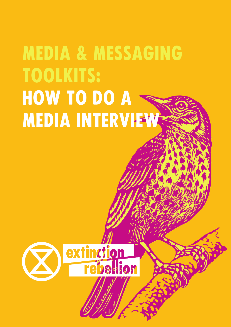# MEDIA & MESSAGING TOOLKITS: HOW TO DO A media interview

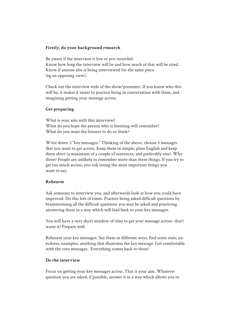# **Firstly, do your background research**

Be aware if the interview is live or pre-recorded. Know how long the interview will be and how much of that will be aired. Know if anyone else is being interviewed for the same piece (eg an opposing view).

Check out the interview style of the show/presenter. If you know who this will be, it makes it easier to practice being in conversation with them, and imagining getting your message across.

# **Get preparing**

What is your aim with this interview? What do you hope the person who is listening will remember? What do you want the listener to do or think?

Write down 3 "key messages." Thinking of the above, choose 3 messages that you want to get across. Keep them in simple, plain English and keep them short (a maximum of a couple of sentences, and preferably one). Why three? People are unlikely to remember more than three things. If you try to get too much across, you risk losing the most important things you want to say.

# **Rehearse**

Ask someone to interview you, and afterwards look at how you could have improved. Do this lots of times. Practice being asked difficult questions by brainstorming all the difficult questions you may be asked and practicing answering them in a way which will lead back to your key messages.

You will have a very short window of time to get your message across- don't waste it! Prepare well.

Rehearse your key messages. Say them in different ways, find some stats, anecdotes, examples, anything that illustrates the key message. Get comfortable with the core messages. Everything comes back to these!

#### **Do the interview**

Focus on getting your key messages across. That is your aim. Whatever question you are asked, if possible, answer it in a way which allows you to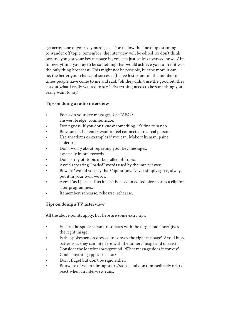get across one of your key messages. Don't allow the line of questioning to wander off topic: remember, the interview will be edited, so don't think because you got your key message in, you can just be less focussed now. Aim for everything you say to be something that would achieve your aim if it was the only thing broadcast. This might not be possible, but the more it can be, the better your chance of success. (I have lost count of the number of times people have come to me and said: "oh they didn't use the good bit, they cut out what I really wanted to say." Everything needs to be something you really want to say!

# **Tips on doing a radio interview**

- Focus on your key messages. Use "ABC": answer, bridge, communicate.
- Don't guess. If you don't know something, it's fine to say so.
- Be yourself. Listeners want to feel connected to a real person.
- Use anecdotes or examples if you can. Make it human, paint a picture.
- Don't worry about repeating your key messages, especially in pre-records.
- Don't stray off topic or be pulled off topic.
- Avoid repeating "loaded" words used by the interviewer.
- Beware "would you say that?" questions. Never simply agree, always put it in your own words.
- Avoid "as I just said" as it can't be used in edited pieces or as a clip for later programmes.
- Remember: rehearse, rehearse, rehearse.

# **Tips on doing a TV interview**

All the above points apply, but here are some extra tips:

- Ensure the spokesperson resonates with the target audience/gives the right image.
- Is the spokesperson dressed to convey the right message? Avoid busy patterns as they can interfere with the camera image and distract.
- Consider the location/background. What message does it convey? Could anything appear in shot?
- Don't fidget but don't be rigid either.
- Be aware of when filming starts/stops, and don't immediately relax/ react when an interview runs.